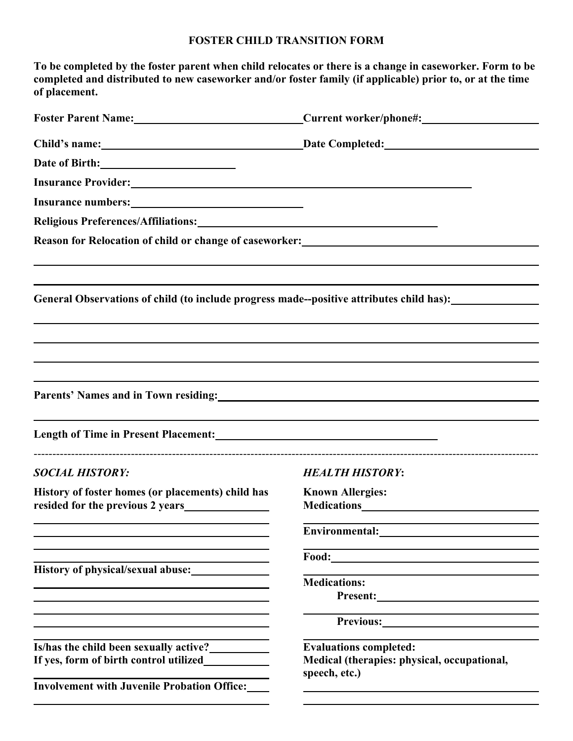## **FOSTER CHILD TRANSITION FORM**

| To be completed by the foster parent when child relocates or there is a change in caseworker. Form to be<br>completed and distributed to new caseworker and/or foster family (if applicable) prior to, or at the time<br>of placement. |                                                                                                                                              |
|----------------------------------------------------------------------------------------------------------------------------------------------------------------------------------------------------------------------------------------|----------------------------------------------------------------------------------------------------------------------------------------------|
| Foster Parent Name: Current worker/phone#:                                                                                                                                                                                             |                                                                                                                                              |
|                                                                                                                                                                                                                                        | Child's name: Date Completed: Date Completed:                                                                                                |
|                                                                                                                                                                                                                                        |                                                                                                                                              |
| Insurance Provider: New York Changes and Separate Section 2014                                                                                                                                                                         |                                                                                                                                              |
|                                                                                                                                                                                                                                        |                                                                                                                                              |
| Religious Preferences/Affiliations:<br><u> </u>                                                                                                                                                                                        |                                                                                                                                              |
| Reason for Relocation of child or change of caseworker:<br><u>manufactor</u> and the contract of child or change of caseworker:                                                                                                        |                                                                                                                                              |
| General Observations of child (to include progress made--positive attributes child has):                                                                                                                                               |                                                                                                                                              |
| Parents' Names and in Town residing: Names and in Town residing:<br>Length of Time in Present Placement:<br><u> </u>                                                                                                                   |                                                                                                                                              |
| <b>SOCIAL HISTORY:</b>                                                                                                                                                                                                                 | <b>HEALTH HISTORY:</b>                                                                                                                       |
| History of foster homes (or placements) child has                                                                                                                                                                                      | <b>Known Allergies:</b>                                                                                                                      |
|                                                                                                                                                                                                                                        |                                                                                                                                              |
| History of physical/sexual abuse:<br><u> 1989 - Johann Stoff, deutscher Stoff, der Stoff, der Stoff, der Stoff, der Stoff, der Stoff, der Stoff, der S</u>                                                                             |                                                                                                                                              |
|                                                                                                                                                                                                                                        | <b>Medications:</b><br><u> 1989 - Johann Barn, mars ann an t-Amhain an t-Amhain an t-Amhain an t-Amhain an t-Amhain an t-Amhain an t-Amh</u> |
| and the control of the control of the control of the control of the control of the control of the control of the                                                                                                                       |                                                                                                                                              |
| Is/has the child been sexually active?<br><u>Letting</u><br><b>Involvement with Juvenile Probation Office:___</b>                                                                                                                      | <b>Evaluations completed:</b><br>Medical (therapies: physical, occupational,<br>speech, etc.)                                                |
|                                                                                                                                                                                                                                        |                                                                                                                                              |